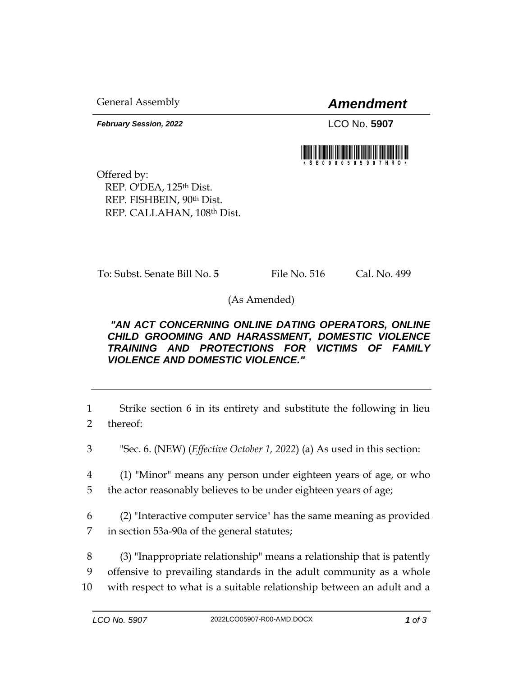General Assembly *Amendment*

*February Session, 2022* LCO No. **5907**



Offered by: REP. O'DEA, 125<sup>th</sup> Dist. REP. FISHBEIN, 90th Dist. REP. CALLAHAN, 108th Dist.

To: Subst. Senate Bill No. 5 File No. 516 Cal. No. 499

(As Amended)

## *"AN ACT CONCERNING ONLINE DATING OPERATORS, ONLINE CHILD GROOMING AND HARASSMENT, DOMESTIC VIOLENCE TRAINING AND PROTECTIONS FOR VICTIMS OF FAMILY VIOLENCE AND DOMESTIC VIOLENCE."*

1 Strike section 6 in its entirety and substitute the following in lieu 2 thereof:

3 "Sec. 6. (NEW) (*Effective October 1, 2022*) (a) As used in this section:

4 (1) "Minor" means any person under eighteen years of age, or who 5 the actor reasonably believes to be under eighteen years of age;

- 6 (2) "Interactive computer service" has the same meaning as provided 7 in section 53a-90a of the general statutes;
- 8 (3) "Inappropriate relationship" means a relationship that is patently 9 offensive to prevailing standards in the adult community as a whole 10 with respect to what is a suitable relationship between an adult and a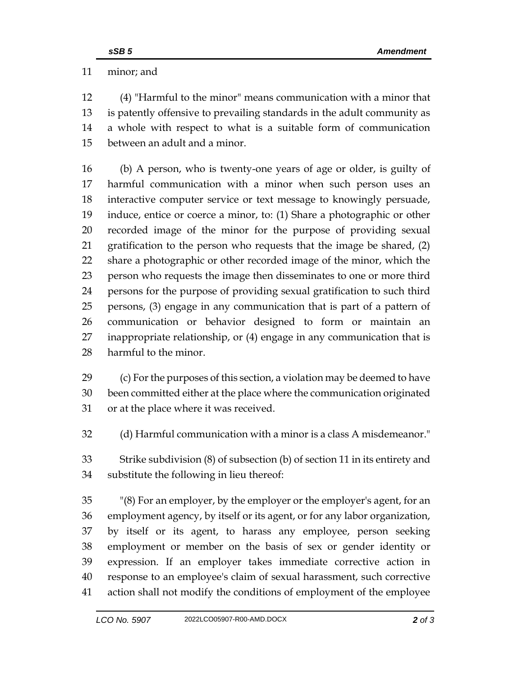minor; and

 (4) "Harmful to the minor" means communication with a minor that is patently offensive to prevailing standards in the adult community as a whole with respect to what is a suitable form of communication between an adult and a minor.

 (b) A person, who is twenty-one years of age or older, is guilty of harmful communication with a minor when such person uses an interactive computer service or text message to knowingly persuade, induce, entice or coerce a minor, to: (1) Share a photographic or other recorded image of the minor for the purpose of providing sexual 21 gratification to the person who requests that the image be shared, (2) share a photographic or other recorded image of the minor, which the person who requests the image then disseminates to one or more third persons for the purpose of providing sexual gratification to such third persons, (3) engage in any communication that is part of a pattern of communication or behavior designed to form or maintain an inappropriate relationship, or (4) engage in any communication that is harmful to the minor.

 (c) For the purposes of this section, a violation may be deemed to have been committed either at the place where the communication originated or at the place where it was received.

(d) Harmful communication with a minor is a class A misdemeanor."

 Strike subdivision (8) of subsection (b) of section 11 in its entirety and substitute the following in lieu thereof:

 "(8) For an employer, by the employer or the employer's agent, for an employment agency, by itself or its agent, or for any labor organization, by itself or its agent, to harass any employee, person seeking employment or member on the basis of sex or gender identity or expression. If an employer takes immediate corrective action in response to an employee's claim of sexual harassment, such corrective action shall not modify the conditions of employment of the employee